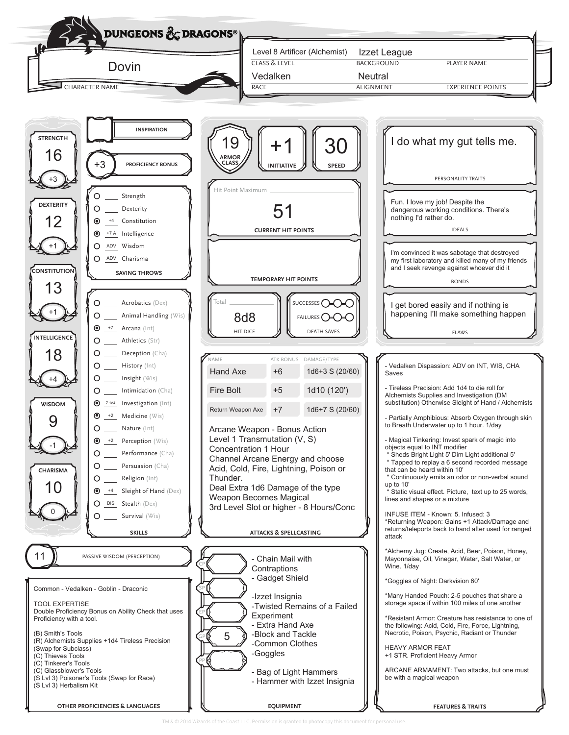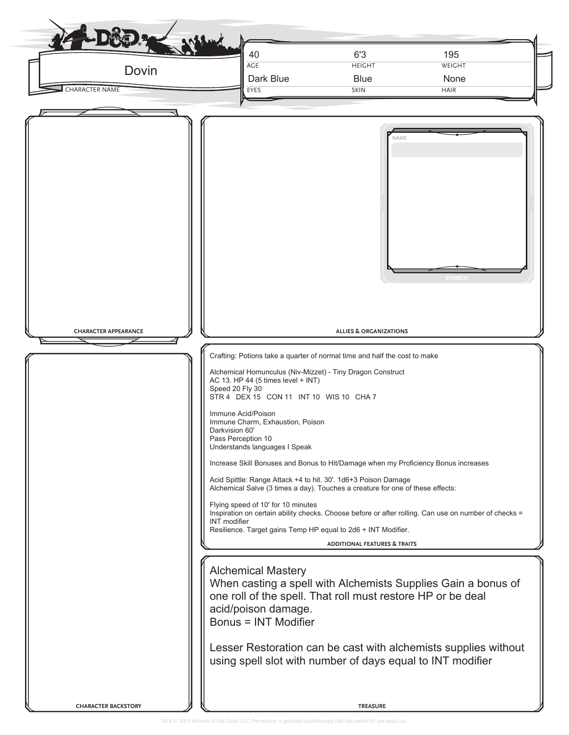| Dovin<br><b>CHARACTER NAME</b> | 40<br><b>AGE</b><br>Dark Blue<br>EYES                                                                                                                                                                                                                                                                                                                                                                                                                                                                                                                                                                                                                                                                                                                  | 6'3<br><b>HEIGHT</b><br><b>Blue</b><br><b>SKIN</b>                                   | 195<br>WEIGHT<br>None<br><b>HAIR</b>                                                                                             |
|--------------------------------|--------------------------------------------------------------------------------------------------------------------------------------------------------------------------------------------------------------------------------------------------------------------------------------------------------------------------------------------------------------------------------------------------------------------------------------------------------------------------------------------------------------------------------------------------------------------------------------------------------------------------------------------------------------------------------------------------------------------------------------------------------|--------------------------------------------------------------------------------------|----------------------------------------------------------------------------------------------------------------------------------|
| <b>CHARACTER APPEARANCE</b>    | Crafting: Potions take a quarter of normal time and half the cost to make<br>Alchemical Homunculus (Niv-Mizzet) - Tiny Dragon Construct<br>AC 13. HP 44 (5 times level + INT)<br>Speed 20 Fly 30<br>STR 4 DEX 15 CON 11 INT 10 WIS 10 CHA 7<br>Immune Acid/Poison<br>Immune Charm, Exhaustion, Poison<br>Darkvision 60'<br>Pass Perception 10<br>Understands languages I Speak<br>Increase Skill Bonuses and Bonus to Hit/Damage when my Proficiency Bonus increases<br>Acid Spittle: Range Attack +4 to hit. 30'. 1d6+3 Poison Damage<br>Alchemical Salve (3 times a day). Touches a creature for one of these effects:<br>Flying speed of 10' for 10 minutes<br><b>INT</b> modifier<br>Resilience. Target gains Temp HP equal to 2d6 + INT Modifier. | NAME<br><b>ALLIES &amp; ORGANIZATIONS</b><br><b>ADDITIONAL FEATURES &amp; TRAITS</b> | <b>SYMBO</b><br>Inspiration on certain ability checks. Choose before or after rolling. Can use on number of checks =             |
|                                | <b>Alchemical Mastery</b><br>one roll of the spell. That roll must restore HP or be deal<br>acid/poison damage.<br><b>Bonus = INT Modifier</b>                                                                                                                                                                                                                                                                                                                                                                                                                                                                                                                                                                                                         |                                                                                      | When casting a spell with Alchemists Supplies Gain a bonus of<br>Lesser Restoration can be cast with alchemists supplies without |
|                                | using spell slot with number of days equal to INT modifier                                                                                                                                                                                                                                                                                                                                                                                                                                                                                                                                                                                                                                                                                             |                                                                                      |                                                                                                                                  |